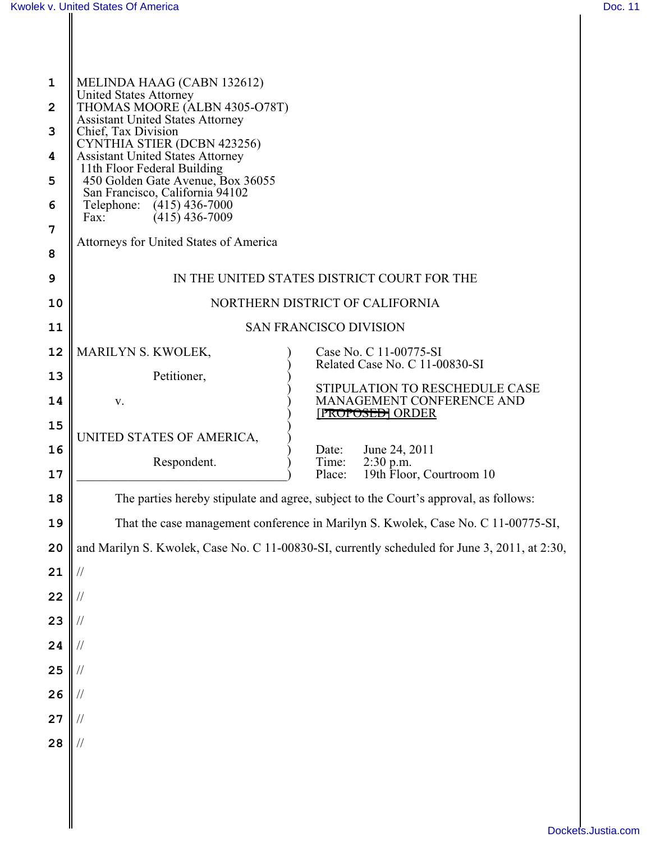Ш

| יחרי |  |
|------|--|
|      |  |

| $\mathbf 1$<br>$\overline{2}$<br>3<br>4<br>5<br>6<br>7<br>8<br>9 | MELINDA HAAG (CABN 132612)<br><b>United States Attorney</b><br>THOMAS MOORE (ALBN 4305-O78T)<br><b>Assistant United States Attorney</b><br>Chief, Tax Division<br>CYNTHIA STIER (DCBN 423256)<br><b>Assistant United States Attorney</b><br>11th Floor Federal Building<br>450 Golden Gate Avenue, Box 36055<br>San Francisco, California 94102<br>Telephone:<br>$(415)$ 436-7000<br>$(415)$ 436-7009<br>Fax:<br>Attorneys for United States of America<br>IN THE UNITED STATES DISTRICT COURT FOR THE |  |  |
|------------------------------------------------------------------|--------------------------------------------------------------------------------------------------------------------------------------------------------------------------------------------------------------------------------------------------------------------------------------------------------------------------------------------------------------------------------------------------------------------------------------------------------------------------------------------------------|--|--|
| 10                                                               | NORTHERN DISTRICT OF CALIFORNIA                                                                                                                                                                                                                                                                                                                                                                                                                                                                        |  |  |
| 11                                                               | <b>SAN FRANCISCO DIVISION</b>                                                                                                                                                                                                                                                                                                                                                                                                                                                                          |  |  |
| 12                                                               | MARILYN S. KWOLEK,<br>Case No. C 11-00775-SI<br>Related Case No. C 11-00830-SI                                                                                                                                                                                                                                                                                                                                                                                                                         |  |  |
| 13                                                               | Petitioner,<br>STIPULATION TO RESCHEDULE CASE                                                                                                                                                                                                                                                                                                                                                                                                                                                          |  |  |
| 14                                                               | MANAGEMENT CONFERENCE AND<br>V.<br><b>[PROPOSED] ORDER</b>                                                                                                                                                                                                                                                                                                                                                                                                                                             |  |  |
| 15                                                               | UNITED STATES OF AMERICA,                                                                                                                                                                                                                                                                                                                                                                                                                                                                              |  |  |
| 16<br>17                                                         | June 24, 2011<br>Date:<br>Respondent.<br>Time:<br>$2:30$ p.m.<br>19th Floor, Courtroom 10<br>Place:                                                                                                                                                                                                                                                                                                                                                                                                    |  |  |
| 18                                                               | The parties hereby stipulate and agree, subject to the Court's approval, as follows:                                                                                                                                                                                                                                                                                                                                                                                                                   |  |  |
| 19                                                               | That the case management conference in Marilyn S. Kwolek, Case No. C 11-00775-SI,                                                                                                                                                                                                                                                                                                                                                                                                                      |  |  |
| 20                                                               | and Marilyn S. Kwolek, Case No. C 11-00830-SI, currently scheduled for June 3, 2011, at 2:30,                                                                                                                                                                                                                                                                                                                                                                                                          |  |  |
| 21                                                               | $\frac{1}{2}$                                                                                                                                                                                                                                                                                                                                                                                                                                                                                          |  |  |
| 22                                                               | $\frac{1}{2}$                                                                                                                                                                                                                                                                                                                                                                                                                                                                                          |  |  |
| 23                                                               | $\frac{1}{2}$                                                                                                                                                                                                                                                                                                                                                                                                                                                                                          |  |  |
| 24                                                               | $\frac{1}{2}$                                                                                                                                                                                                                                                                                                                                                                                                                                                                                          |  |  |
| 25                                                               | $\frac{1}{2}$                                                                                                                                                                                                                                                                                                                                                                                                                                                                                          |  |  |
| 26                                                               | $\frac{1}{2}$                                                                                                                                                                                                                                                                                                                                                                                                                                                                                          |  |  |
| 27                                                               | //                                                                                                                                                                                                                                                                                                                                                                                                                                                                                                     |  |  |
| 28                                                               | //                                                                                                                                                                                                                                                                                                                                                                                                                                                                                                     |  |  |
|                                                                  |                                                                                                                                                                                                                                                                                                                                                                                                                                                                                                        |  |  |